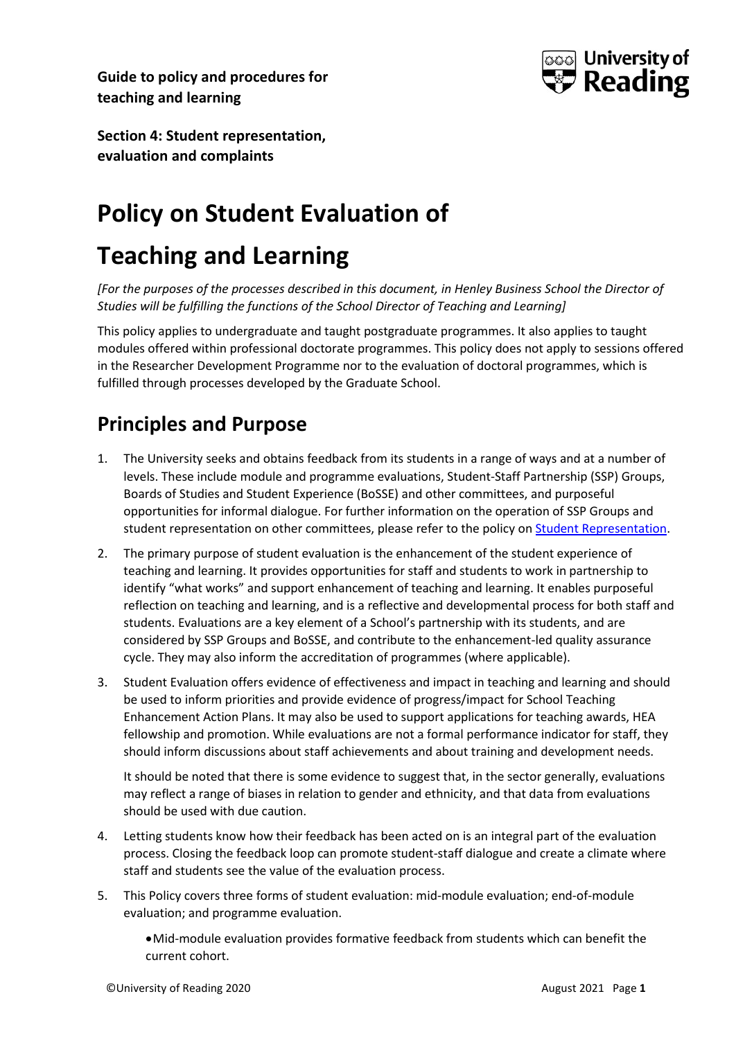



**Section 4: Student representation, evaluation and complaints**

# **Policy on Student Evaluation of**

# **Teaching and Learning**

*[For the purposes of the processes described in this document, in Henley Business School the Director of Studies will be fulfilling the functions of the School Director of Teaching and Learning]*

This policy applies to undergraduate and taught postgraduate programmes. It also applies to taught modules offered within professional doctorate programmes. This policy does not apply to sessions offered in the Researcher Development Programme nor to the evaluation of doctoral programmes, which is fulfilled through processes developed by the Graduate School.

## **Principles and Purpose**

- 1. The University seeks and obtains feedback from its students in a range of ways and at a number of levels. These include module and programme evaluations, Student-Staff Partnership (SSP) Groups, Boards of Studies and Student Experience (BoSSE) and other committees, and purposeful opportunities for informal dialogue. For further information on the operation of SSP Groups and student representation on other committees, please refer to the policy on [Student Representation.](http://www.reading.ac.uk/web/files/qualitysupport/studentreppolicy.pdf)
- 2. The primary purpose of student evaluation is the enhancement of the student experience of teaching and learning. It provides opportunities for staff and students to work in partnership to identify "what works" and support enhancement of teaching and learning. It enables purposeful reflection on teaching and learning, and is a reflective and developmental process for both staff and students. Evaluations are a key element of a School's partnership with its students, and are considered by SSP Groups and BoSSE, and contribute to the enhancement-led quality assurance cycle. They may also inform the accreditation of programmes (where applicable).
- 3. Student Evaluation offers evidence of effectiveness and impact in teaching and learning and should be used to inform priorities and provide evidence of progress/impact for School Teaching Enhancement Action Plans. It may also be used to support applications for teaching awards, HEA fellowship and promotion. While evaluations are not a formal performance indicator for staff, they should inform discussions about staff achievements and about training and development needs.

It should be noted that there is some evidence to suggest that, in the sector generally, evaluations may reflect a range of biases in relation to gender and ethnicity, and that data from evaluations should be used with due caution.

- 4. Letting students know how their feedback has been acted on is an integral part of the evaluation process. Closing the feedback loop can promote student-staff dialogue and create a climate where staff and students see the value of the evaluation process.
- 5. This Policy covers three forms of student evaluation: mid-module evaluation; end-of-module evaluation; and programme evaluation.
	- •Mid-module evaluation provides formative feedback from students which can benefit the current cohort.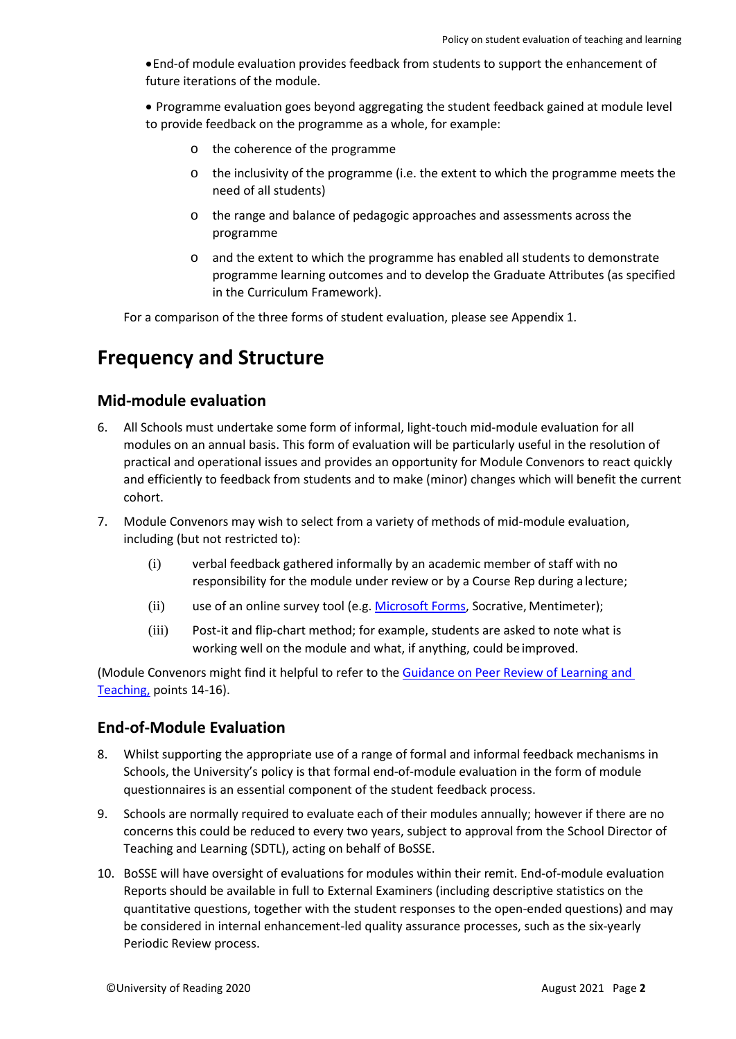•End-of module evaluation provides feedback from students to support the enhancement of future iterations of the module.

• Programme evaluation goes beyond aggregating the student feedback gained at module level to provide feedback on the programme as a whole, for example:

- o the coherence of the programme
- $\circ$  the inclusivity of the programme (i.e. the extent to which the programme meets the need of all students)
- o the range and balance of pedagogic approaches and assessments across the programme
- o and the extent to which the programme has enabled all students to demonstrate programme learning outcomes and to develop the Graduate Attributes (as specified in the Curriculum Framework).

For a comparison of the three forms of student evaluation, please see Appendix 1.

### **Frequency and Structure**

#### **Mid-module evaluation**

- 6. All Schools must undertake some form of informal, light-touch mid-module evaluation for all modules on an annual basis. This form of evaluation will be particularly useful in the resolution of practical and operational issues and provides an opportunity for Module Convenors to react quickly and efficiently to feedback from students and to make (minor) changes which will benefit the current cohort.
- 7. Module Convenors may wish to select from a variety of methods of mid-module evaluation, including (but not restricted to):
	- (i) verbal feedback gathered informally by an academic member of staff with no responsibility for the module under review or by a Course Rep during a lecture;
	- (ii) use of an online survey tool (e.g. [Microsoft Forms,](https://sites.reading.ac.uk/tel-support/2020/06/26/ms-forms/) Socrative, Mentimeter);
	- (iii) Post-it and flip-chart method; for example, students are asked to note what is working well on the module and what, if anything, could beimproved.

(Module Convenors might find it helpful to refer to the [Guidance on Peer Review of Learning and](http://www.reading.ac.uk/web/files/qualitysupport/peerreviewguidance.pdf)  [Teaching,](http://www.reading.ac.uk/web/files/qualitysupport/peerreviewguidance.pdf) points 14-16).

#### **End-of-Module Evaluation**

- 8. Whilst supporting the appropriate use of a range of formal and informal feedback mechanisms in Schools, the University's policy is that formal end-of-module evaluation in the form of module questionnaires is an essential component of the student feedback process.
- 9. Schools are normally required to evaluate each of their modules annually; however if there are no concerns this could be reduced to every two years, subject to approval from the School Director of Teaching and Learning (SDTL), acting on behalf of BoSSE.
- 10. BoSSE will have oversight of evaluations for modules within their remit. End-of-module evaluation Reports should be available in full to External Examiners (including descriptive statistics on the quantitative questions, together with the student responses to the open-ended questions) and may be considered in internal enhancement-led quality assurance processes, such as the six-yearly Periodic Review process.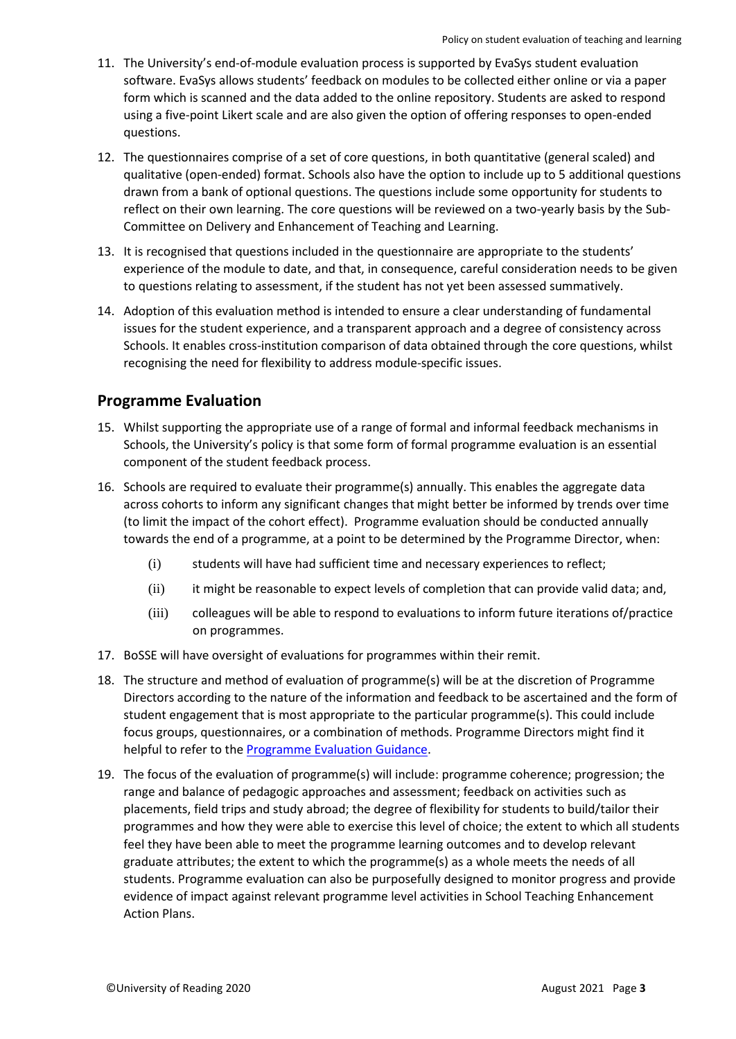- 11. The University's end-of-module evaluation process is supported by EvaSys student evaluation software. EvaSys allows students' feedback on modules to be collected either online or via a paper form which is scanned and the data added to the online repository. Students are asked to respond using a five-point Likert scale and are also given the option of offering responses to open-ended questions.
- 12. The questionnaires comprise of a set of core questions, in both quantitative (general scaled) and qualitative (open-ended) format. Schools also have the option to include up to 5 additional questions drawn from a bank of optional questions. The questions include some opportunity for students to reflect on their own learning. The core questions will be reviewed on a two-yearly basis by the Sub-Committee on Delivery and Enhancement of Teaching and Learning.
- 13. It is recognised that questions included in the questionnaire are appropriate to the students' experience of the module to date, and that, in consequence, careful consideration needs to be given to questions relating to assessment, if the student has not yet been assessed summatively.
- 14. Adoption of this evaluation method is intended to ensure a clear understanding of fundamental issues for the student experience, and a transparent approach and a degree of consistency across Schools. It enables cross-institution comparison of data obtained through the core questions, whilst recognising the need for flexibility to address module-specific issues.

#### **Programme Evaluation**

- 15. Whilst supporting the appropriate use of a range of formal and informal feedback mechanisms in Schools, the University's policy is that some form of formal programme evaluation is an essential component of the student feedback process.
- 16. Schools are required to evaluate their programme(s) annually. This enables the aggregate data across cohorts to inform any significant changes that might better be informed by trends over time (to limit the impact of the cohort effect). Programme evaluation should be conducted annually towards the end of a programme, at a point to be determined by the Programme Director, when:
	- (i) students will have had sufficient time and necessary experiences to reflect;
	- (ii) it might be reasonable to expect levels of completion that can provide valid data; and,
	- (iii) colleagues will be able to respond to evaluations to inform future iterations of/practice on programmes.
- 17. BoSSE will have oversight of evaluations for programmes within their remit.
- 18. The structure and method of evaluation of programme(s) will be at the discretion of Programme Directors according to the nature of the information and feedback to be ascertained and the form of student engagement that is most appropriate to the particular programme(s). This could include focus groups, questionnaires, or a combination of methods. Programme Directors might find it helpful to refer to the [Programme Evaluation Guidance.](https://sites.reading.ac.uk/wp-content/uploads/sites/42/2020/05/Programme-Evaluation-Guidance-Final.pdf)
- 19. The focus of the evaluation of programme(s) will include: programme coherence; progression; the range and balance of pedagogic approaches and assessment; feedback on activities such as placements, field trips and study abroad; the degree of flexibility for students to build/tailor their programmes and how they were able to exercise this level of choice; the extent to which all students feel they have been able to meet the programme learning outcomes and to develop relevant graduate attributes; the extent to which the programme(s) as a whole meets the needs of all students. Programme evaluation can also be purposefully designed to monitor progress and provide evidence of impact against relevant programme level activities in School Teaching Enhancement Action Plans.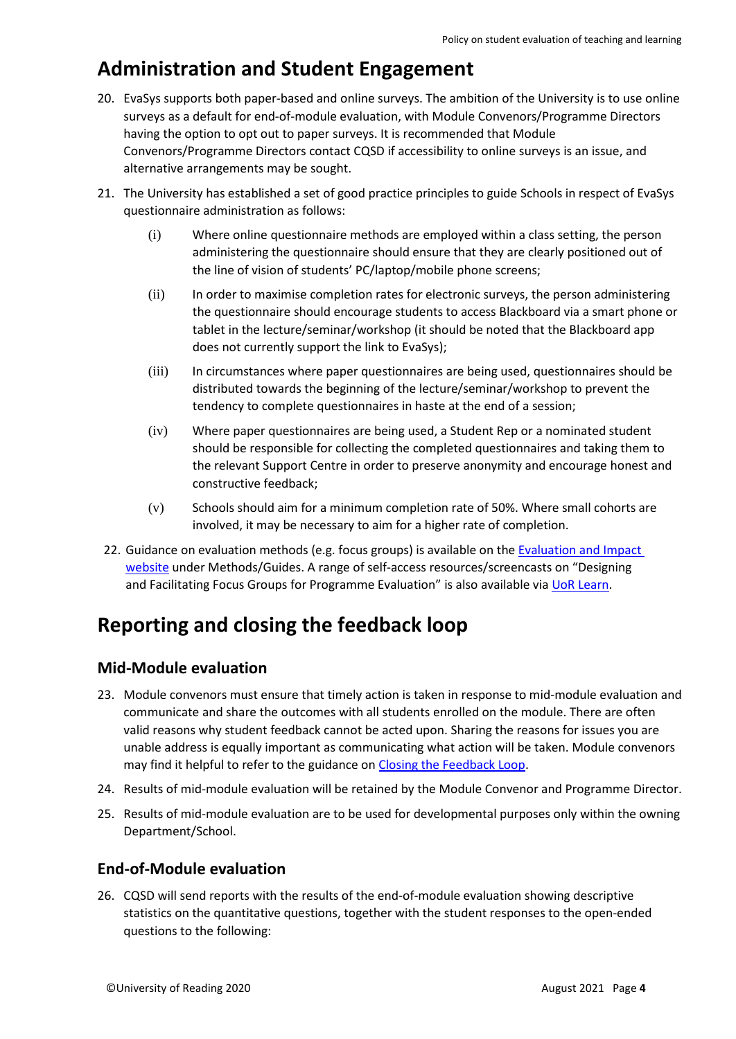### **Administration and Student Engagement**

- 20. EvaSys supports both paper-based and online surveys. The ambition of the University is to use online surveys as a default for end-of-module evaluation, with Module Convenors/Programme Directors having the option to opt out to paper surveys. It is recommended that Module Convenors/Programme Directors contact CQSD if accessibility to online surveys is an issue, and alternative arrangements may be sought.
- 21. The University has established a set of good practice principles to guide Schools in respect of EvaSys questionnaire administration as follows:
	- (i) Where online questionnaire methods are employed within a class setting, the person administering the questionnaire should ensure that they are clearly positioned out of the line of vision of students' PC/laptop/mobile phone screens;
	- (ii) In order to maximise completion rates for electronic surveys, the person administering the questionnaire should encourage students to access Blackboard via a smart phone or tablet in the lecture/seminar/workshop (it should be noted that the Blackboard app does not currently support the link to EvaSys);
	- (iii) In circumstances where paper questionnaires are being used, questionnaires should be distributed towards the beginning of the lecture/seminar/workshop to prevent the tendency to complete questionnaires in haste at the end of a session;
	- (iv) Where paper questionnaires are being used, a Student Rep or a nominated student should be responsible for collecting the completed questionnaires and taking them to the relevant Support Centre in order to preserve anonymity and encourage honest and constructive feedback;
	- (v) Schools should aim for a minimum completion rate of 50%. Where small cohorts are involved, it may be necessary to aim for a higher rate of completion.
- 22. Guidance on evaluation methods (e.g. focus groups) is available on the [Evaluation and Impact](https://sites.reading.ac.uk/evaluation-and-impact/resources/)  [website](https://sites.reading.ac.uk/evaluation-and-impact/resources/) under Methods/Guides. A range of self-access resources/screencasts on "Designing and Facilitating Focus Groups for Programme Evaluation" is also available via [UoR Learn.](https://uorlearn.sabacloud.com/Saba/Web_spf/EU2PRD0149/common/ledetail/cours000000000071520/latestversion)

### **Reporting and closing the feedback loop**

#### **Mid-Module evaluation**

- 23. Module convenors must ensure that timely action is taken in response to mid-module evaluation and communicate and share the outcomes with all students enrolled on the module. There are often valid reasons why student feedback cannot be acted upon. Sharing the reasons for issues you are unable address is equally important as communicating what action will be taken. Module convenors may find it helpful to refer to the guidance on [Closing the Feedback Loop.](https://sites.reading.ac.uk/curriculum-framework/closing-the-feedback-loop/)
- 24. Results of mid-module evaluation will be retained by the Module Convenor and Programme Director.
- 25. Results of mid-module evaluation are to be used for developmental purposes only within the owning Department/School.

#### **End-of-Module evaluation**

26. CQSD will send reports with the results of the end-of-module evaluation showing descriptive statistics on the quantitative questions, together with the student responses to the open-ended questions to the following: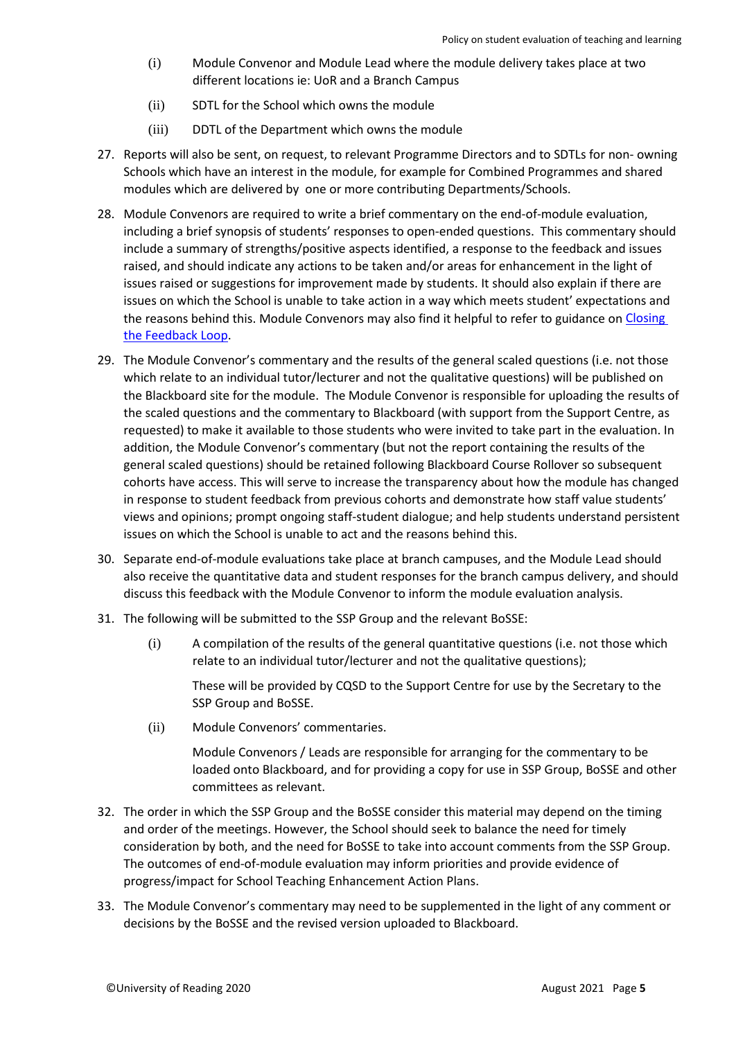- (i) Module Convenor and Module Lead where the module delivery takes place at two different locations ie: UoR and a Branch Campus
- (ii) SDTL for the School which owns the module
- (iii) DDTL of the Department which owns the module
- 27. Reports will also be sent, on request, to relevant Programme Directors and to SDTLs for non- owning Schools which have an interest in the module, for example for Combined Programmes and shared modules which are delivered by one or more contributing Departments/Schools.
- 28. Module Convenors are required to write a brief commentary on the end-of-module evaluation, including a brief synopsis of students' responses to open-ended questions. This commentary should include a summary of strengths/positive aspects identified, a response to the feedback and issues raised, and should indicate any actions to be taken and/or areas for enhancement in the light of issues raised or suggestions for improvement made by students. It should also explain if there are issues on which the School is unable to take action in a way which meets student' expectations and the reasons behind this. Module Convenors may also find it helpful to refer to guidance on [Closing](https://sites.reading.ac.uk/curriculum-framework/closing-the-feedback-loop)  [the Feedback Loop.](https://sites.reading.ac.uk/curriculum-framework/closing-the-feedback-loop)
- 29. The Module Convenor's commentary and the results of the general scaled questions (i.e. not those which relate to an individual tutor/lecturer and not the qualitative questions) will be published on the Blackboard site for the module. The Module Convenor is responsible for uploading the results of the scaled questions and the commentary to Blackboard (with support from the Support Centre, as requested) to make it available to those students who were invited to take part in the evaluation. In addition, the Module Convenor's commentary (but not the report containing the results of the general scaled questions) should be retained following Blackboard Course Rollover so subsequent cohorts have access. This will serve to increase the transparency about how the module has changed in response to student feedback from previous cohorts and demonstrate how staff value students' views and opinions; prompt ongoing staff-student dialogue; and help students understand persistent issues on which the School is unable to act and the reasons behind this.
- 30. Separate end-of-module evaluations take place at branch campuses, and the Module Lead should also receive the quantitative data and student responses for the branch campus delivery, and should discuss this feedback with the Module Convenor to inform the module evaluation analysis.
- 31. The following will be submitted to the SSP Group and the relevant BoSSE:
	- (i) A compilation of the results of the general quantitative questions (i.e. not those which relate to an individual tutor/lecturer and not the qualitative questions);

These will be provided by CQSD to the Support Centre for use by the Secretary to the SSP Group and BoSSE.

(ii) Module Convenors' commentaries.

Module Convenors / Leads are responsible for arranging for the commentary to be loaded onto Blackboard, and for providing a copy for use in SSP Group, BoSSE and other committees as relevant.

- 32. The order in which the SSP Group and the BoSSE consider this material may depend on the timing and order of the meetings. However, the School should seek to balance the need for timely consideration by both, and the need for BoSSE to take into account comments from the SSP Group. The outcomes of end-of-module evaluation may inform priorities and provide evidence of progress/impact for School Teaching Enhancement Action Plans.
- 33. The Module Convenor's commentary may need to be supplemented in the light of any comment or decisions by the BoSSE and the revised version uploaded to Blackboard.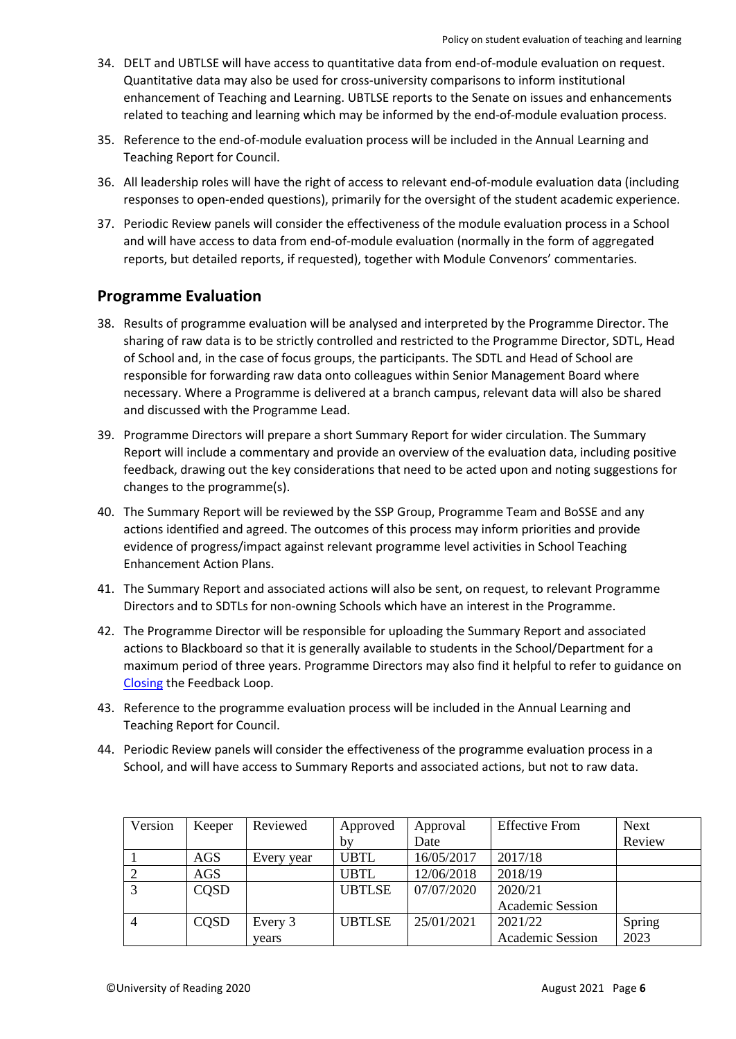- 34. DELT and UBTLSE will have access to quantitative data from end-of-module evaluation on request. Quantitative data may also be used for cross-university comparisons to inform institutional enhancement of Teaching and Learning. UBTLSE reports to the Senate on issues and enhancements related to teaching and learning which may be informed by the end-of-module evaluation process.
- 35. Reference to the end-of-module evaluation process will be included in the Annual Learning and Teaching Report for Council.
- 36. All leadership roles will have the right of access to relevant end-of-module evaluation data (including responses to open-ended questions), primarily for the oversight of the student academic experience.
- 37. Periodic Review panels will consider the effectiveness of the module evaluation process in a School and will have access to data from end-of-module evaluation (normally in the form of aggregated reports, but detailed reports, if requested), together with Module Convenors' commentaries.

#### **Programme Evaluation**

- 38. Results of programme evaluation will be analysed and interpreted by the Programme Director. The sharing of raw data is to be strictly controlled and restricted to the Programme Director, SDTL, Head of School and, in the case of focus groups, the participants. The SDTL and Head of School are responsible for forwarding raw data onto colleagues within Senior Management Board where necessary. Where a Programme is delivered at a branch campus, relevant data will also be shared and discussed with the Programme Lead.
- 39. Programme Directors will prepare a short Summary Report for wider circulation. The Summary Report will include a commentary and provide an overview of the evaluation data, including positive feedback, drawing out the key considerations that need to be acted upon and noting suggestions for changes to the programme(s).
- 40. The Summary Report will be reviewed by the SSP Group, Programme Team and BoSSE and any actions identified and agreed. The outcomes of this process may inform priorities and provide evidence of progress/impact against relevant programme level activities in School Teaching Enhancement Action Plans.
- 41. The Summary Report and associated actions will also be sent, on request, to relevant Programme Directors and to SDTLs for non-owning Schools which have an interest in the Programme.
- 42. The Programme Director will be responsible for uploading the Summary Report and associated actions to Blackboard so that it is generally available to students in the School/Department for a maximum period of three years. Programme Directors may also find it helpful to refer to guidance on [Closing](https://sites.reading.ac.uk/curriculum-framework/closing-the-feedback-loop/) the Feedback Loop.
- 43. Reference to the programme evaluation process will be included in the Annual Learning and Teaching Report for Council.
- 44. Periodic Review panels will consider the effectiveness of the programme evaluation process in a School, and will have access to Summary Reports and associated actions, but not to raw data.

| Version        | Keeper | Reviewed   | Approved      | Approval   | <b>Effective From</b>   | <b>Next</b> |
|----------------|--------|------------|---------------|------------|-------------------------|-------------|
|                |        |            | by            | Date       |                         | Review      |
|                | AGS    | Every year | <b>UBTL</b>   | 16/05/2017 | 2017/18                 |             |
|                | AGS    |            | <b>UBTL</b>   | 12/06/2018 | 2018/19                 |             |
|                | CQSD   |            | <b>UBTLSE</b> | 07/07/2020 | 2020/21                 |             |
|                |        |            |               |            | <b>Academic Session</b> |             |
| $\overline{4}$ | CQSD   | Every 3    | <b>UBTLSE</b> | 25/01/2021 | 2021/22                 | Spring      |
|                |        | vears      |               |            | <b>Academic Session</b> | 2023        |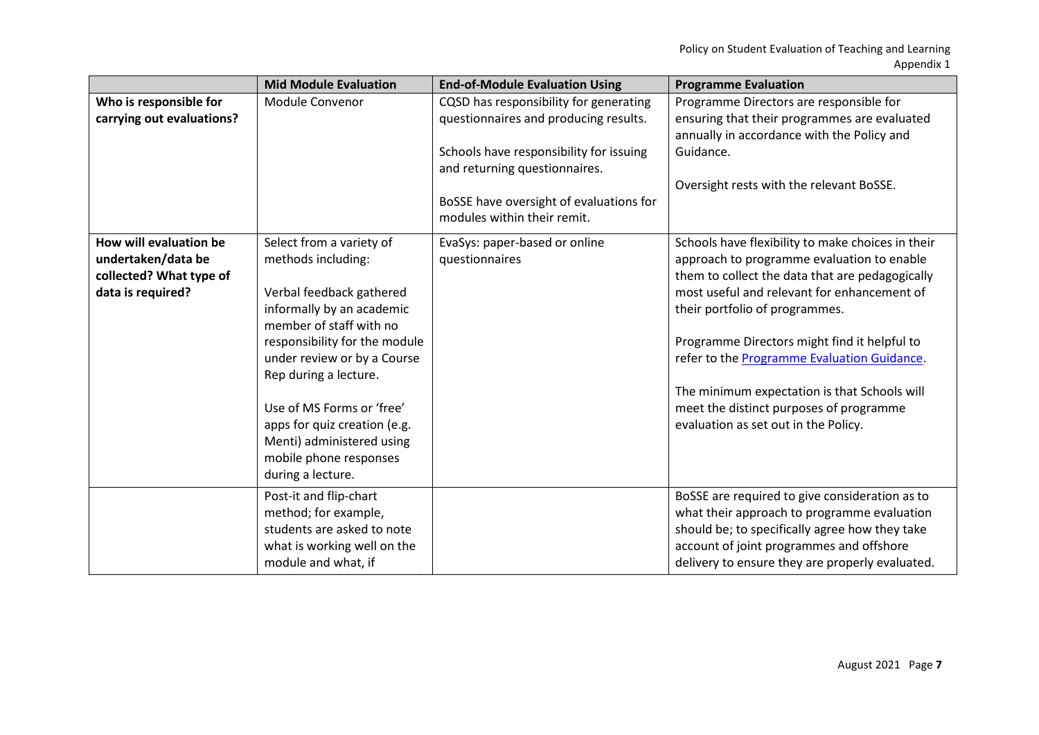|                           | <b>Mid Module Evaluation</b>  | <b>End-of-Module Evaluation Using</b>                                  | <b>Programme Evaluation</b>                                                                |
|---------------------------|-------------------------------|------------------------------------------------------------------------|--------------------------------------------------------------------------------------------|
| Who is responsible for    | Module Convenor               | CQSD has responsibility for generating                                 | Programme Directors are responsible for                                                    |
| carrying out evaluations? |                               | questionnaires and producing results.                                  | ensuring that their programmes are evaluated<br>annually in accordance with the Policy and |
|                           |                               | Schools have responsibility for issuing                                | Guidance.                                                                                  |
|                           |                               | and returning questionnaires.                                          |                                                                                            |
|                           |                               |                                                                        | Oversight rests with the relevant BoSSE.                                                   |
|                           |                               | BoSSE have oversight of evaluations for<br>modules within their remit. |                                                                                            |
| How will evaluation be    | Select from a variety of      | EvaSys: paper-based or online                                          | Schools have flexibility to make choices in their                                          |
| undertaken/data be        | methods including:            | questionnaires                                                         | approach to programme evaluation to enable                                                 |
| collected? What type of   |                               |                                                                        | them to collect the data that are pedagogically                                            |
| data is required?         | Verbal feedback gathered      |                                                                        | most useful and relevant for enhancement of                                                |
|                           | informally by an academic     |                                                                        | their portfolio of programmes.                                                             |
|                           | member of staff with no       |                                                                        |                                                                                            |
|                           | responsibility for the module |                                                                        | Programme Directors might find it helpful to                                               |
|                           | under review or by a Course   |                                                                        | refer to the Programme Evaluation Guidance.                                                |
|                           | Rep during a lecture.         |                                                                        |                                                                                            |
|                           |                               |                                                                        | The minimum expectation is that Schools will                                               |
|                           | Use of MS Forms or 'free'     |                                                                        | meet the distinct purposes of programme                                                    |
|                           | apps for quiz creation (e.g.  |                                                                        | evaluation as set out in the Policy.                                                       |
|                           | Menti) administered using     |                                                                        |                                                                                            |
|                           | mobile phone responses        |                                                                        |                                                                                            |
|                           | during a lecture.             |                                                                        |                                                                                            |
|                           | Post-it and flip-chart        |                                                                        | BoSSE are required to give consideration as to                                             |
|                           | method; for example,          |                                                                        | what their approach to programme evaluation                                                |
|                           | students are asked to note    |                                                                        | should be; to specifically agree how they take                                             |
|                           | what is working well on the   |                                                                        | account of joint programmes and offshore                                                   |
|                           | module and what, if           |                                                                        | delivery to ensure they are properly evaluated.                                            |
|                           |                               |                                                                        |                                                                                            |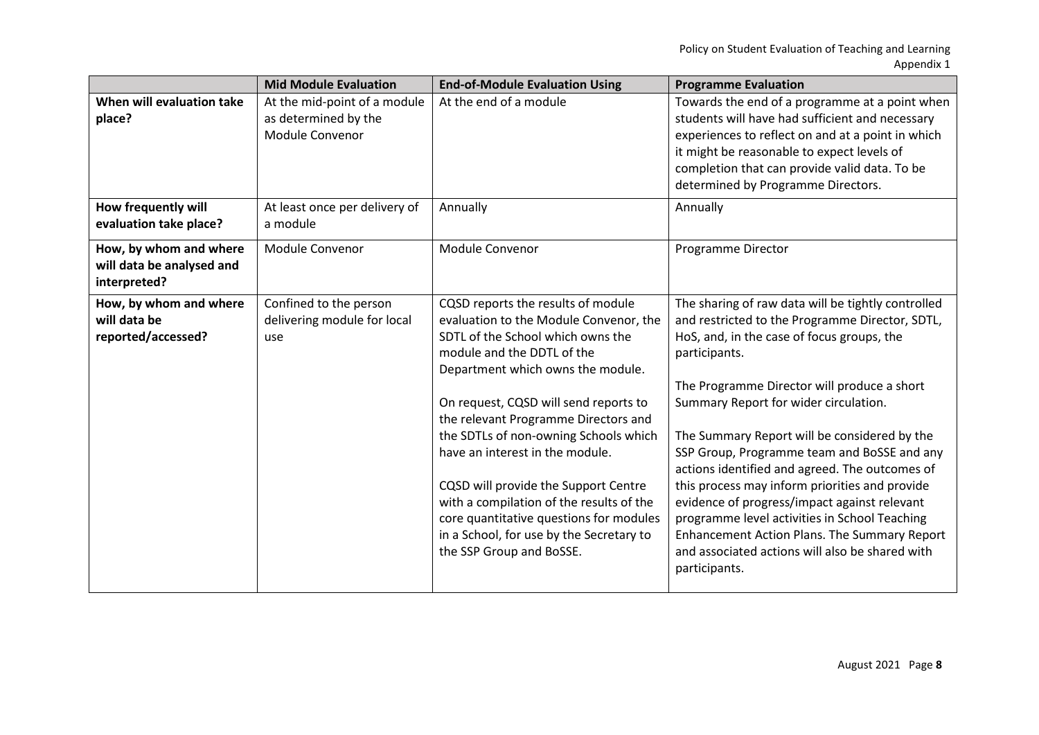|                                                                     | <b>Mid Module Evaluation</b>                                            | <b>End-of-Module Evaluation Using</b>                                                                                                                                                                                                                                                                                                                                                                                                                                                                                                                    | <b>Programme Evaluation</b>                                                                                                                                                                                                                                                                                                                                                                                                                                                                                                                                                                                                                                                                 |
|---------------------------------------------------------------------|-------------------------------------------------------------------------|----------------------------------------------------------------------------------------------------------------------------------------------------------------------------------------------------------------------------------------------------------------------------------------------------------------------------------------------------------------------------------------------------------------------------------------------------------------------------------------------------------------------------------------------------------|---------------------------------------------------------------------------------------------------------------------------------------------------------------------------------------------------------------------------------------------------------------------------------------------------------------------------------------------------------------------------------------------------------------------------------------------------------------------------------------------------------------------------------------------------------------------------------------------------------------------------------------------------------------------------------------------|
| When will evaluation take<br>place?                                 | At the mid-point of a module<br>as determined by the<br>Module Convenor | At the end of a module                                                                                                                                                                                                                                                                                                                                                                                                                                                                                                                                   | Towards the end of a programme at a point when<br>students will have had sufficient and necessary<br>experiences to reflect on and at a point in which<br>it might be reasonable to expect levels of<br>completion that can provide valid data. To be<br>determined by Programme Directors.                                                                                                                                                                                                                                                                                                                                                                                                 |
| How frequently will<br>evaluation take place?                       | At least once per delivery of<br>a module                               | Annually                                                                                                                                                                                                                                                                                                                                                                                                                                                                                                                                                 | Annually                                                                                                                                                                                                                                                                                                                                                                                                                                                                                                                                                                                                                                                                                    |
| How, by whom and where<br>will data be analysed and<br>interpreted? | Module Convenor                                                         | Module Convenor                                                                                                                                                                                                                                                                                                                                                                                                                                                                                                                                          | Programme Director                                                                                                                                                                                                                                                                                                                                                                                                                                                                                                                                                                                                                                                                          |
| How, by whom and where<br>will data be<br>reported/accessed?        | Confined to the person<br>delivering module for local<br>use            | CQSD reports the results of module<br>evaluation to the Module Convenor, the<br>SDTL of the School which owns the<br>module and the DDTL of the<br>Department which owns the module.<br>On request, CQSD will send reports to<br>the relevant Programme Directors and<br>the SDTLs of non-owning Schools which<br>have an interest in the module.<br>CQSD will provide the Support Centre<br>with a compilation of the results of the<br>core quantitative questions for modules<br>in a School, for use by the Secretary to<br>the SSP Group and BoSSE. | The sharing of raw data will be tightly controlled<br>and restricted to the Programme Director, SDTL,<br>HoS, and, in the case of focus groups, the<br>participants.<br>The Programme Director will produce a short<br>Summary Report for wider circulation.<br>The Summary Report will be considered by the<br>SSP Group, Programme team and BoSSE and any<br>actions identified and agreed. The outcomes of<br>this process may inform priorities and provide<br>evidence of progress/impact against relevant<br>programme level activities in School Teaching<br><b>Enhancement Action Plans. The Summary Report</b><br>and associated actions will also be shared with<br>participants. |